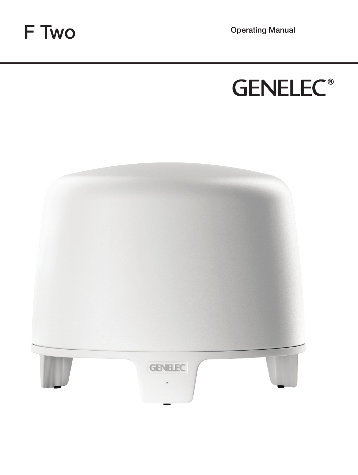F TWO Operating Manual



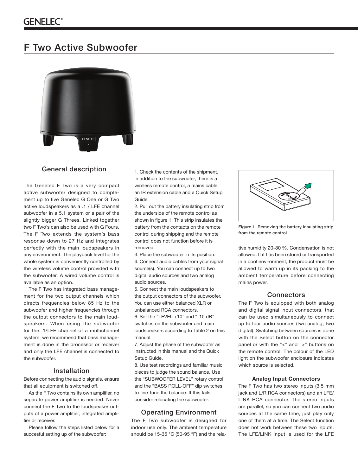# F Two Active Subwoofer



## General description

The Genelec F Two is a very compact active subwoofer designed to complement up to five Genelec G One or G Two active loudspeakers as a .1 / LFE channel subwoofer in a 5.1 system or a pair of the slightly bigger G Threes. Linked together two F Two's can also be used with G Fours. The F Two extends the system's bass response down to 27 Hz and integrates perfectly with the main loudspeakers in any environment. The playback level for the whole system is conveniently controlled by the wireless volume control provided with the subwoofer. A wired volume control is available as an option.

The F Two has integrated bass management for the two output channels which directs frequencies below 85 Hz to the subwoofer and higher frequencies through the output connectors to the main loudspeakers. When using the subwoofer for the .1/LFE channel of a multichannel system, we recommend that bass management is done in the processor or receiver and only the LFE channel is connected to the subwoofer.

# Installation

Before connecting the audio signals, ensure that all equipment is switched off.

As the F Two contains its own amplifier, no separate power amplifier is needed. Never connect the F Two to the loudspeaker outputs of a power amplifier, integrated amplifier or receiver.

Please follow the steps listed below for a succesful setting up of the subwoofer:

1. Check the contents of the shipment. in addition to the subwoofer, there is a wireless remote control, a mains cable, an IR extension cable and a Quick Setup Guide.

2. Pull out the battery insulating strip from the underside of the remote control as shown in figure 1. This strip insulates the battery from the contacts on the remote control during shipping and the remote control does not function before it is removed.

3. Place the subwoofer in its position. 4. Connect audio cables from your signal source(s). You can connect up to two digital audio sources and two analog audio sources.

5. Connect the main loudspeakers to the output connectors of the subwoofer. You can use either balanced XLR or unbalanced RCA connectors.

6. Set the "LEVEL +10" and "-10 dB" switches on the subwoofer and main loudspeakers according to Table 2 on this manual.

7. Adjust the phase of the subwoofer as instructed in this manual and the Quick Setup Guide.

8. Use test recordings and familiar music pieces to judge the sound balance. Use the "SUBWOOFER LEVEL" rotary control and the "BASS ROLL-OFF" dip switches to fine-tune the balance. If this fails, consider relocating the subwoofer.

### Operating Environment

The F Two subwoofer is designed for indoor use only. The ambient temperature should be 15-35 °C (50-95 °F) and the rela-



Figure 1. Removing the battery insulating strip from the remote control

tive humidity 20-80 %. Condensation is not allowed. If it has been stored or transported in a cool environment, the product must be allowed to warm up in its packing to the ambient temperature before connecting mains power.

## **Connectors**

The F Two is equipped with both analog and digital signal input connectors, that can be used simultaneously to connect up to four audio sources (two analog, two digital). Switching between sources is done with the Select button on the connector panel or with the "<" and ">" buttons on the remote control. The colour of the LED light on the subwoofer enclosure indicates which source is selected.

#### **Analog Input Connectors**

The F Two has two stereo inputs (3.5 mm jack and L/R RCA connectors) and an LFE/ LINK RCA connector. The stereo inputs are parallel, so you can connect two audio sources at the same time, just play only one of them at a time. The Select function does not work between these two inputs. The LFE/LINK input is used for the LFE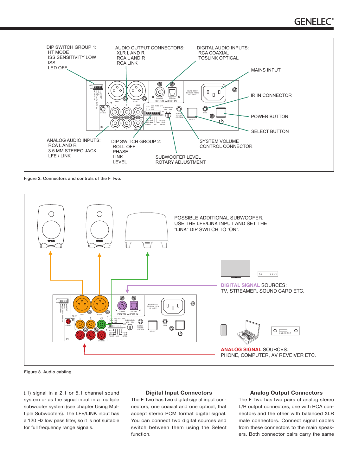

Figure 2. Connectors and controls of the F Two.



Figure 3. Audio cabling

(.1) signal in a 2.1 or 5.1 channel sound system or as the signal input in a multiple subwoofer system (see chapter Using Multiple Subwoofers). The LFE/LINK input has a 120 Hz low pass filter, so it is not suitable for full frequency range signals.

### **Digital Input Connectors**

The F Two has two digital signal input connectors, one coaxial and one optical, that accept stereo PCM format digital signal. You can connect two digital sources and switch between them using the Select function.

### **Analog Output Connectors**

The F Two has two pairs of analog stereo L/R output connectors, one with RCA connectors and the other with balanced XLR male connectors. Connect signal cables from these connectors to the main speakers. Both connector pairs carry the same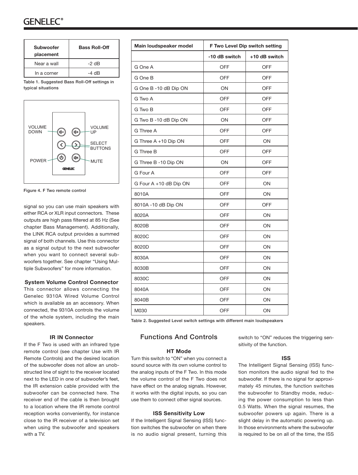# GENEI EC

| <b>Subwoofer</b><br>placement | <b>Bass Roll-Off</b> |
|-------------------------------|----------------------|
| Near a wall                   | $-2$ dB              |
| In a corner                   | -4 dB                |

Table 1. Suggested Bass Roll-Off settings in typical situations



Figure 4. F Two remote control

signal so you can use main speakers with either RCA or XLR input connectors. These outputs are high pass filtered at 85 Hz (See chapter Bass Management). Additionally, the LINK RCA output provides a summed signal of both channels. Use this connector as a signal output to the next subwoofer when you want to connect several subwoofers together. See chapter "Using Multiple Subwoofers" for more information.

### **System Volume Control Connector**

This connector allows connecting the Genelec 9310A Wired Volume Control which is available as an accessory. When connected, the 9310A controls the volume of the whole system, including the main speakers.

### **IR IN Connector**

If the F Two is used with an infrared type remote control (see chapter Use with IR Remote Controls) and the desired location of the subwoofer does not allow an unobstructed line of sight to the receiver located next to the LED in one of subwoofer's feet, the IR extension cable provided with the subwoofer can be connected here. The receiver end of the cable is then brought to a location where the IR remote control reception works conveniently, for instance close to the IR receiver of a television set when using the subwoofer and speakers with a TV.

| Main loudspeaker model | F Two Level Dip switch setting |               |
|------------------------|--------------------------------|---------------|
|                        | -10 dB switch                  | +10 dB switch |
| G One A                | <b>OFF</b>                     | <b>OFF</b>    |
| G One B                | OFF                            | OFF           |
| G One B -10 dB Dip ON  | ON                             | <b>OFF</b>    |
| G Two A                | <b>OFF</b>                     | <b>OFF</b>    |
| G Two B                | <b>OFF</b>                     | <b>OFF</b>    |
| G Two B -10 dB Dip ON  | ON                             | <b>OFF</b>    |
| G Three A              | OFF                            | OFF           |
| G Three A +10 Dip ON   | <b>OFF</b>                     | ON            |
| G Three B              | <b>OFF</b>                     | <b>OFF</b>    |
| G Three B -10 Dip ON   | ON                             | <b>OFF</b>    |
| G Four A               | <b>OFF</b>                     | <b>OFF</b>    |
| G Four A +10 dB Dip ON | <b>OFF</b>                     | ON            |
| 8010A                  | <b>OFF</b>                     | ON            |
| 8010A -10 dB Dip ON    | <b>OFF</b>                     | <b>OFF</b>    |
| 8020A                  | <b>OFF</b>                     | ON            |
| 8020B                  | <b>OFF</b>                     | ON            |
| 8020C                  | <b>OFF</b>                     | ON            |
| 8020D                  | <b>OFF</b>                     | ON            |
| 8030A                  | <b>OFF</b>                     | ON            |
| 8030B                  | <b>OFF</b>                     | ON            |
| 8030C                  | <b>OFF</b>                     | ON            |
| 8040A                  | <b>OFF</b>                     | ON            |
| 8040B                  | <b>OFF</b>                     | ON            |
| M030                   | <b>OFF</b>                     | ON            |

Table 2. Suggested Level switch settings with different main loudspeakers

# Functions And Controls

## **HT Mode**

Turn this switch to "ON" when you connect a sound source with its own volume control to the analog inputs of the F Two. In this mode the volume control of the F Two does not have effect on the analog signals. However, it works with the digital inputs, so you can use them to connect other signal sources.

#### **ISS Sensitivity Low**

If the Intelligent Signal Sensing (ISS) function switches the subwoofer on when there is no audio signal present, turning this switch to "ON" reduces the triggering sensitivity of the function.

### **ISS**

The Intelligent Signal Sensing (ISS) function monitors the audio signal fed to the subwoofer. If there is no signal for approximately 45 minutes, the function switches the subwoofer to Standby mode, reducing the power consumption to less than 0.5 Watts. When the signal resumes, the subwoofer powers up again. There is a slight delay in the automatic powering up. In those environments where the subwoofer is required to be on all of the time, the ISS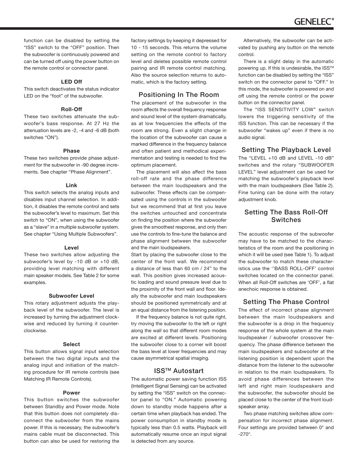function can be disabled by setting the "ISS" switch to the "OFF" position. Then the subwoofer is continuously powered and can be turned off using the power button on the remote control or connector panel.

### **LED Off**

This switch deactivates the status indicator LED on the "foot" of the subwoofer.

### **Roll-Off**

These two switches attenuate the subwoofer's bass response. At 27 Hz the attenuation levels are -2, -4 and -6 dB (both switches "ON").

### **Phase**

These two switches provide phase adjustment for the subwoofer in -90 degree increments. See chapter "Phase Alignment".

#### **Link**

This switch selects the analog inputs and disables input channel selection. In addition, it disables the remote control and sets the subwoofer's level to maximum. Set this switch to "ON", when using the subwoofer as a "slave" in a multiple subwoofer system. See chapter "Using Multiple Subwoofers".

#### **Level**

These two switches allow adjusting the subwoofer's level by -10 dB or +10 dB, providing level matching with different main speaker models. See Table 2 for some examples.

### **Subwoofer Level**

This rotary adjustment adjusts the playback level of the subwoofer. The level is increased by turning the adjustment clockwise and reduced by turning it counterclockwise.

#### **Select**

This button allows signal input selection between the two digital inputs and the analog input and initiation of the matching procedure for IR remote controls (see Matching IR Remote Controls).

#### **Power**

This button switches the subwoofer between Standby and Power mode. Note that this button does not completely disconnect the subwoofer from the mains power. If this is necessary, the subwoofer's mains cable must be disconnected. This button can also be used for restoring the

factory settings by keeping it depressed for 10 - 15 seconds. This returns the volume setting on the remote control to factory level and deletes possible remote control pairing and IR remote control matching. Also the source selection returns to automatic, which is the factory setting.

# Positioning In The Room

The placement of the subwoofer in the room affects the overall frequency response and sound level of the system dramatically, as at low frequencies the effects of the room are strong. Even a slight change in the location of the subwoofer can cause a marked difference in the frequency balance and often patient and methodical experimentation and testing is needed to find the optimum placement.

The placement will also affect the bass roll-off rate and the phase difference between the main loudspeakers and the subwoofer. These effects can be compensated using the controls in the subwoofer but we recommend that at first you leave the switches untouched and concentrate on finding the position where the subwoofer gives the smoothest response, and only then use the controls to fine-tune the balance and phase alignment between the subwoofer and the main loudspeakers.

Start by placing the subwoofer close to the center of the front wall. We recommend a distance of less than 60 cm / 24" to the wall. This position gives increased acoustic loading and sound pressure level due to the proximity of the front wall and floor. Ideally the subwoofer and main loudspeakers should be positioned symmetrically and at an equal distance from the listening position.

If the frequency balance is not quite right, try moving the subwoofer to the left or right along the wall so that different room modes are excited at different levels. Positioning the subwoofer close to a corner will boost the bass level at lower frequencies and may cause asymmetrical spatial imaging.

# ISSTM Autostart

The automatic power saving function ISS (Intelligent Signal Sensing) can be activated by setting the "ISS" switch on the connector panel to "ON." Automatic powering down to standby mode happens after a certain time when playback has ended. The power consumption in standby mode is typically less than 0.5 watts. Playback will automatically resume once an input signal is detected from any source.

Alternatively, the subwoofer can be activated by pushing any button on the remote control.

There is a slight delay in the automatic powering up. If this is undesirable, the ISS™ function can be disabled by setting the "ISS" switch on the connector panel to "OFF." In this mode, the subwoofer is powered on and off using the remote control or the power button on the connector panel.

The "ISS SENSITIVITY LOW" switch lowers the triggering sensitivity of the ISS function. This can be necessary if the subwoofer "wakes up" even if there is no audio signal.

## Setting The Playback Level

The "LEVEL +10 dB and LEVEL -10 dB" switches and the rotary "SUBWOOFER LEVEL" level adjustment can be used for matching the subwoofer's playback level with the main loudspeakers (See Table 2). Fine tuning can be done with the rotary adjustment knob.

# Setting The Bass Roll-Off Switches

The acoustic response of the subwoofer may have to be matched to the characteristics of the room and the positioning in which it will be used (see Table 1). To adjust the subwoofer to match these characteristics use the ''BASS ROLL-OFF' control switches located on the connector panel. When all Roll-Off switches are 'OFF', a flat anechoic response is obtained.

# Setting The Phase Control

The effect of incorrect phase alignment between the main loudspeakers and the subwoofer is a drop in the frequency response of the whole system at the main loudspeaker / subwoofer crossover frequency. The phase difference between the main loudspeakers and subwoofer at the listening position is dependent upon the distance from the listener to the subwoofer in relation to the main loudspeakers. To avoid phase differences between the left and right main loudspeakers and the subwoofer, the subwoofer should be placed close to the center of the front loudspeaker array.

Two phase matching switches allow compensation for incorrect phase alignment. Four settings are provided between 0° and -270°.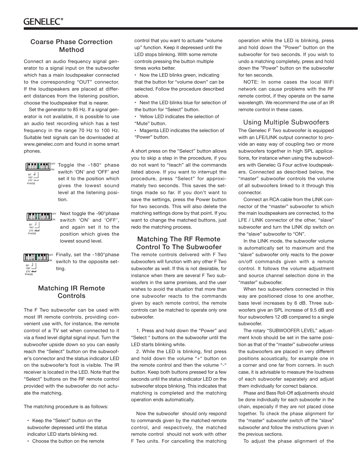# Coarse Phase Correction Method

Connect an audio frequency signal generator to a signal input on the subwoofer which has a main loudspeaker connected to the corresponding "OUT" connector. If the loudspeakers are placed at different distances from the listening position, choose the loudspeaker that is nearer.

Set the generator to 85 Hz. If a signal generator is not available, it is possible to use an audio test recording which has a test frequency in the range 70 Hz to 100 Hz. Suitable test signals can be downloaded at www.genelec.com and found in some smart phones.



ON

Toggle the -180° phase switch 'ON' and 'OFF' and set it to the position which gives the lowest sound level at the listening position. **OFF** 



Next toggle the -90°phase switch 'ON' and 'OFF', and again set it to the position which gives the lowest sound level.



Finally, set the -180°phase switch to the opposite setting.

# Matching IR Remote **Controls**

The F Two subwoofer can be used with most IR remote controls, providing convenient use with, for instance, the remote control of a TV set when connected to it via a fixed level digital signal input. Turn the subwoofer upside down so you can easily reach the "Select" button on the subwoofer's connector and the status indicator LED on the subwoofer's foot is visible. The IR receiver is located in the LED. Note that the "Select" buttons on the RF remote control provided with the subwoofer do not actuate the matching.

The matching procedure is as follows:

- Keep the "Select" button on the subwoofer depressed until the status indicator LED starts blinking red.
- Choose the button on the remote

control that you want to actuate "volume up" function. Keep it depressed until the LED stops blinking. With some remote controls pressing the button multiple times works better.

• Now the LED blinks green, indicating that the button for "volume down" can be selected. Follow the procedure described above.

• Next the LED blinks blue for selection of the button for "Select" button.

• Yellow LED indicates the selection of "Mute" button.

• Magenta LED indicates the selection of "Power" button.

A short press on the "Select" button allows you to skip a step in the procedure, if you do not want to "teach" all the commands listed above. If you want to interrupt the procedure, press "Select" for approximately two seconds. This saves the settings made so far. If you don't want to save the settings, press the Power button for two seconds. This will also delete the matching settings done by that point. If you want to change the matched buttons, just redo the matching process.

# Matching The RF Remote Control To The Subwoofer

The remote controls delivered with F Two subwoofers will function with any other F Two subwoofer as well. If this is not desirable, for instance when there are several F Two subwoofers in the same premises, and the user wishes to avoid the situation that more than one subwoofer reacts to the commands given by each remote control, the remote controls can be matched to operate only one subwoofer.

1. Press and hold down the "Power" and "Select " buttons on the subwoofer until the LED starts blinking white.

2. While the LED is blinking, first press and hold down the volume "+" button on the remote control and then the volume "-" button. Keep both buttons pressed for a few seconds until the status indicator LED on the subwoofer stops blinking. This indicates that matching is completed and the matching operation ends automatically.

Now the subwoofer should only respond to commands given by the matched remote control, and respectively, the matched remote control should not work with other F Two units. For cancelling the matching

operation while the LED is blinking, press and hold down the "Power" button on the subwoofer for two seconds. If you wish to undo a matching completely, press and hold down the "Power" button on the subwoofer for ten seconds.

NOTE: In some cases the local WiFi network can cause problems with the RF remote control, if they operate on the same wavelength. We recommend the use of an IR remote control in these cases.

# Using Multiple Subwoofers

The Genelec F Two subwoofer is equipped with an LFE/LINK output connector to provide an easy way of coupling two or more subwoofers together in high SPL applications, for instance when using the subwoofers with Genelec G Four active loudspeakers. Connected as described below, the "master" subwoofer controls the volume of all subwoofers linked to it through this connector.

Connect an RCA cable from the LINK connector of the "master" subwoofer to which the main loudspeakers are connected, to the LFE / LINK connector of the other, "slave" subwoofer and turn the LINK dip switch on the "slave" subwoofer to "ON".

In the LINK mode, the subwoofer volume is automatically set to maximum and the "slave" subwoofer only reacts to the power on/off commands given with a remote control. It follows the volume adjustment and source channel selection done in the "master" subwoofer.

When two subwoofers connected in this way are positioned close to one another, bass level increases by 6 dB. Three subwoofers give an SPL increase of 9.5 dB and four subwoofers 12 dB compared to a single subwoofer.

The rotary "SUBWOOFER LEVEL" adjustment knob should be set in the same position as that of the "master" subwoofer unless the subwoofers are placed in very different positions acoustically, for example one in a corner and one far from corners. In such case, it is advisable to measure the loudness of each subwoofer separately and adjust them individually for correct balance.

Phase and Bass Roll-Off adjustments should be done individually for each subwoofer in the chain, especially if they are not placed close together. To check the phase alignment for the "master" subwoofer switch off the "slave" subwoofer and follow the instructions given in the previous sections.

To adjust the phase alignment of the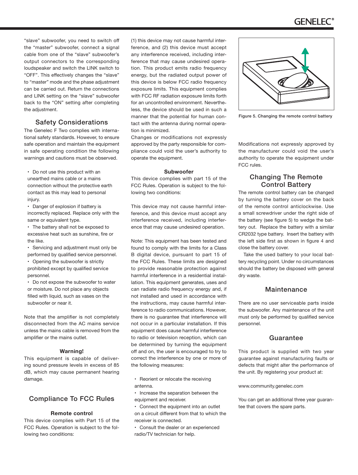# **GENELEC**

"slave" subwoofer, you need to switch off the "master" subwoofer, connect a signal cable from one of the "slave" subwoofer's output connectors to the corresponding loudspeaker and switch the LINK switch to "OFF". This effectively changes the "slave" to "master" mode and the phase adjustment can be carried out. Return the connections and LINK setting on the "slave" subwoofer back to the "ON" setting after completing the adjustment.

# Safety Considerations

The Genelec F Two complies with international safety standards. However, to ensure safe operation and maintain the equipment in safe operating condition the following warnings and cautions must be observed.

• Do not use this product with an unearthed mains cable or a mains connection without the protective earth contact as this may lead to personal injury.

• Danger of explosion if battery is incorrectly replaced. Replace only with the same or equivalent type.

• The battery shall not be exposed to excessive heat such as sunshine, fire or the like.

• Servicing and adjustment must only be performed by qualified service personnel.

• Opening the subwoofer is strictly prohibited except by qualified service personnel.

• Do not expose the subwoofer to water or moisture. Do not place any objects filled with liquid, such as vases on the subwoofer or near it.

Note that the amplifier is not completely disconnected from the AC mains service unless the mains cable is removed from the amplifier or the mains outlet.

### **Warning!**

This equipment is capable of delivering sound pressure levels in excess of 85 dB, which may cause permanent hearing damage.

# Compliance To FCC Rules

### **Remote control**

This device complies with Part 15 of the FCC Rules. Operation is subject to the following two conditions:

(1) this device may not cause harmful interference, and (2) this device must accept any interference received, including interference that may cause undesired operation. This product emits radio frequency energy, but the radiated output power of this device is below FCC radio frequency exposure limits. This equipment complies with FCC RF radiation exposure limits forth for an uncontrolled environment. Nevertheless, the device should be used in such a manner that the potential for human contact with the antenna during normal operation is minimized.

Changes or modifications not expressly approved by the party responsible for compliance could void the user's authority to operate the equipment.

### **Subwoofer**

This device complies with part 15 of the FCC Rules. Operation is subject to the following two conditions:

This device may not cause harmful interference, and this device must accept any interference received, including interference that may cause undesired operation.

Note: This equipment has been tested and found to comply with the limits for a Class B digital device, pursuant to part 15 of the FCC Rules. These limits are designed to provide reasonable protection against harmful interference in a residential installation. This equipment generates, uses and can radiate radio frequency energy and, if not installed and used in accordance with the instructions, may cause harmful interference to radio communications. However, there is no guarantee that interference will not occur in a particular installation. If this equipment does cause harmful interference to radio or television reception, which can be determined by turning the equipment off and on, the user is encouraged to try to correct the interference by one or more of the following measures:

- Reorient or relocate the receiving antenna.
- Increase the separation between the equipment and receiver.
- Connect the equipment into an outlet on a circuit different from that to which the receiver is connected.
- Consult the dealer or an experienced radio/TV technician for help.



Figure 5. Changing the remote control battery

Modifications not expressly approved by the manufacturer could void the user's authority to operate the equipment under FCC rules.

# Changing The Remote Control Battery

The remote control battery can be changed by turning the battery cover on the back of the remote control anticlockwise. Use a small screwdriver under the right side of the battery (see figure 5) to wedge the battery out. Replace the battery with a similar CR2032 type battery. Insert the battery with the left side first as shown in figure 4 and close the battery cover.

Take the used battery to your local battery recycling point. Under no circumstances should the battery be disposed with general dry waste.

# Maintenance

There are no user serviceable parts inside the subwoofer. Any maintenance of the unit must only be performed by qualified service personnel.

## Guarantee

This product is supplied with two year guarantee against manufacturing faults or defects that might alter the performance of the unit. By registering your product at:

### www.community.genelec.com

You can get an additional three year guarantee that covers the spare parts.